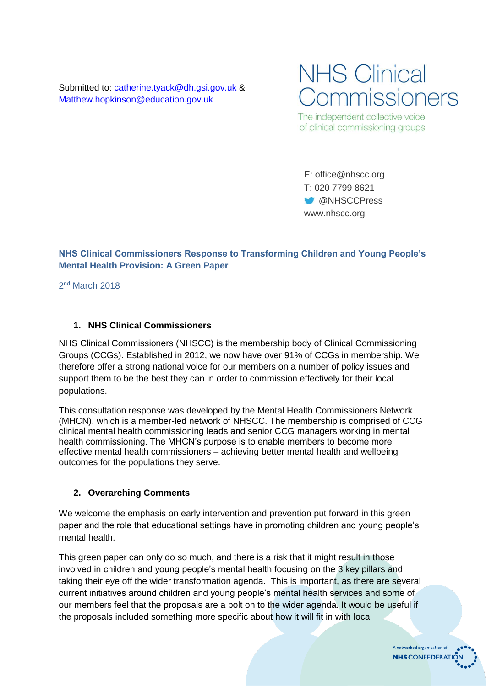Submitted to: [catherine.tyack@dh.gsi.gov.uk](mailto:catherine.tyack@dh.gsi.gov.uk) & [Matthew.hopkinson@education.gov.uk](mailto:Matthew.hopkinson@education.gov.uk)



The independent collective voice of clinical commissioning groups

E: office@nhscc.org T: 020 7799 8621 **W** @NHSCCPress www.nhscc.org

## **NHS Clinical Commissioners Response to Transforming Children and Young People's Mental Health Provision: A Green Paper**

2<sup>nd</sup> March 2018

#### **1. NHS Clinical Commissioners**

NHS Clinical Commissioners (NHSCC) is the membership body of Clinical Commissioning Groups (CCGs). Established in 2012, we now have over 91% of CCGs in membership. We therefore offer a strong national voice for our members on a number of policy issues and support them to be the best they can in order to commission effectively for their local populations.

This consultation response was developed by the Mental Health Commissioners Network (MHCN), which is a member-led network of NHSCC. The membership is comprised of CCG clinical mental health commissioning leads and senior CCG managers working in mental health commissioning. The MHCN's purpose is to enable members to become more effective mental health commissioners – achieving better mental health and wellbeing outcomes for the populations they serve.

#### **2. Overarching Comments**

We welcome the emphasis on early intervention and prevention put forward in this green paper and the role that educational settings have in promoting children and young people's mental health.

This green paper can only do so much, and there is a risk that it might result in those involved in children and young people's mental health focusing on the 3 key pillars and taking their eye off the wider transformation agenda. This is important, as there are several current initiatives around children and young people's mental health services and some of our members feel that the proposals are a bolt on to the wider agenda. It would be useful if the proposals included something more specific about how it will fit in with local

> A networked organisation of **NHS CONFEDERATI**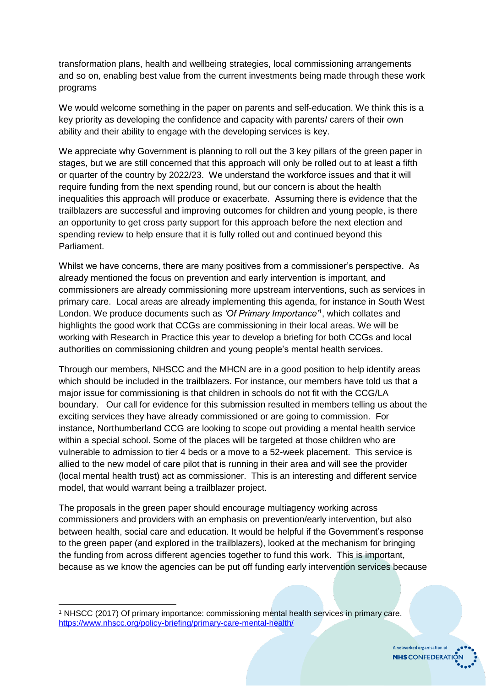transformation plans, health and wellbeing strategies, local commissioning arrangements and so on, enabling best value from the current investments being made through these work programs

We would welcome something in the paper on parents and self-education. We think this is a key priority as developing the confidence and capacity with parents/ carers of their own ability and their ability to engage with the developing services is key.

We appreciate why Government is planning to roll out the 3 key pillars of the green paper in stages, but we are still concerned that this approach will only be rolled out to at least a fifth or quarter of the country by 2022/23. We understand the workforce issues and that it will require funding from the next spending round, but our concern is about the health inequalities this approach will produce or exacerbate. Assuming there is evidence that the trailblazers are successful and improving outcomes for children and young people, is there an opportunity to get cross party support for this approach before the next election and spending review to help ensure that it is fully rolled out and continued beyond this Parliament.

Whilst we have concerns, there are many positives from a commissioner's perspective. As already mentioned the focus on prevention and early intervention is important, and commissioners are already commissioning more upstream interventions, such as services in primary care. Local areas are already implementing this agenda, for instance in South West London. We produce documents such as *'Of Primary Importance'*<sup>1</sup> , which collates and highlights the good work that CCGs are commissioning in their local areas. We will be working with Research in Practice this year to develop a briefing for both CCGs and local authorities on commissioning children and young people's mental health services.

Through our members, NHSCC and the MHCN are in a good position to help identify areas which should be included in the trailblazers. For instance, our members have told us that a major issue for commissioning is that children in schools do not fit with the CCG/LA boundary. Our call for evidence for this submission resulted in members telling us about the exciting services they have already commissioned or are going to commission. For instance, Northumberland CCG are looking to scope out providing a mental health service within a special school. Some of the places will be targeted at those children who are vulnerable to admission to tier 4 beds or a move to a 52-week placement. This service is allied to the new model of care pilot that is running in their area and will see the provider (local mental health trust) act as commissioner. This is an interesting and different service model, that would warrant being a trailblazer project.

The proposals in the green paper should encourage multiagency working across commissioners and providers with an emphasis on prevention/early intervention, but also between health, social care and education. It would be helpful if the Government's response to the green paper (and explored in the trailblazers), looked at the mechanism for bringing the funding from across different agencies together to fund this work. This is important, because as we know the agencies can be put off funding early intervention services because

1

A networked organisation of **NHS** CONFEDERATION

<sup>1</sup> NHSCC (2017) Of primary importance: commissioning mental health services in primary care. <https://www.nhscc.org/policy-briefing/primary-care-mental-health/>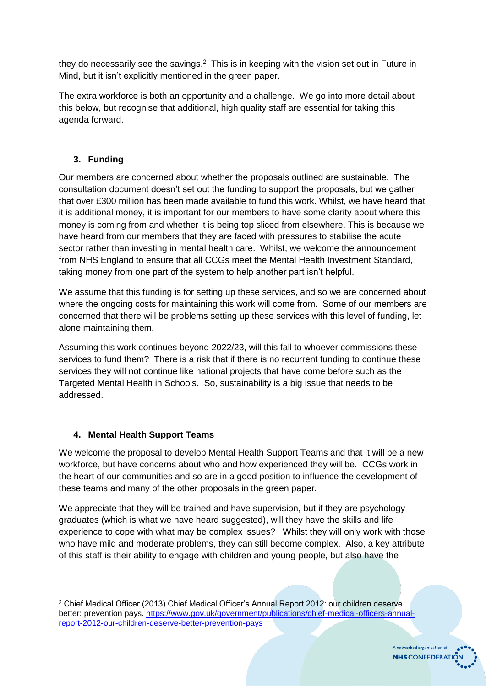they do necessarily see the savings. $2$  This is in keeping with the vision set out in Future in Mind, but it isn't explicitly mentioned in the green paper.

The extra workforce is both an opportunity and a challenge. We go into more detail about this below, but recognise that additional, high quality staff are essential for taking this agenda forward.

# **3. Funding**

Our members are concerned about whether the proposals outlined are sustainable. The consultation document doesn't set out the funding to support the proposals, but we gather that over £300 million has been made available to fund this work. Whilst, we have heard that it is additional money, it is important for our members to have some clarity about where this money is coming from and whether it is being top sliced from elsewhere. This is because we have heard from our members that they are faced with pressures to stabilise the acute sector rather than investing in mental health care. Whilst, we welcome the announcement from NHS England to ensure that all CCGs meet the Mental Health Investment Standard, taking money from one part of the system to help another part isn't helpful.

We assume that this funding is for setting up these services, and so we are concerned about where the ongoing costs for maintaining this work will come from. Some of our members are concerned that there will be problems setting up these services with this level of funding, let alone maintaining them.

Assuming this work continues beyond 2022/23, will this fall to whoever commissions these services to fund them? There is a risk that if there is no recurrent funding to continue these services they will not continue like national projects that have come before such as the Targeted Mental Health in Schools. So, sustainability is a big issue that needs to be addressed.

## **4. Mental Health Support Teams**

We welcome the proposal to develop Mental Health Support Teams and that it will be a new workforce, but have concerns about who and how experienced they will be. CCGs work in the heart of our communities and so are in a good position to influence the development of these teams and many of the other proposals in the green paper.

We appreciate that they will be trained and have supervision, but if they are psychology graduates (which is what we have heard suggested), will they have the skills and life experience to cope with what may be complex issues? Whilst they will only work with those who have mild and moderate problems, they can still become complex. Also, a key attribute of this staff is their ability to engage with children and young people, but also have the

A networked organisation of **NHS** CONFEDERATION

 $\overline{a}$ <sup>2</sup> Chief Medical Officer (2013) Chief Medical Officer's Annual Report 2012: our children deserve better: prevention pays. [https://www.gov.uk/government/publications/chief-medical-officers-annual](https://www.gov.uk/government/publications/chief-medical-officers-annual-report-2012-our-children-deserve-better-prevention-pays)[report-2012-our-children-deserve-better-prevention-pays](https://www.gov.uk/government/publications/chief-medical-officers-annual-report-2012-our-children-deserve-better-prevention-pays)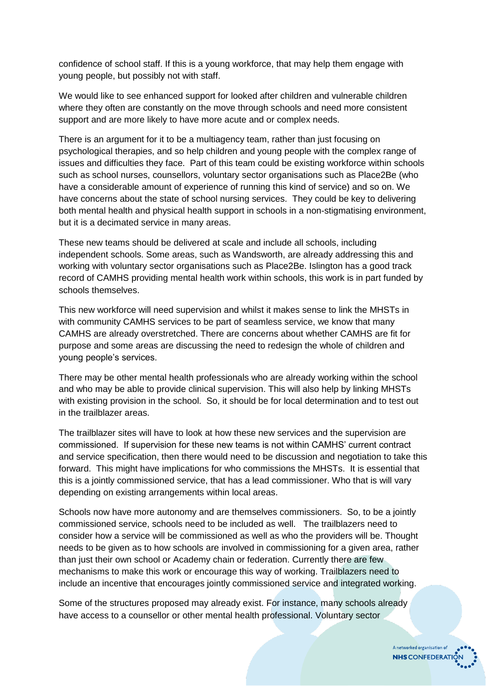confidence of school staff. If this is a young workforce, that may help them engage with young people, but possibly not with staff.

We would like to see enhanced support for looked after children and vulnerable children where they often are constantly on the move through schools and need more consistent support and are more likely to have more acute and or complex needs.

There is an argument for it to be a multiagency team, rather than just focusing on psychological therapies, and so help children and young people with the complex range of issues and difficulties they face. Part of this team could be existing workforce within schools such as school nurses, counsellors, voluntary sector organisations such as Place2Be (who have a considerable amount of experience of running this kind of service) and so on. We have concerns about the state of school nursing services. They could be key to delivering both mental health and physical health support in schools in a non-stigmatising environment, but it is a decimated service in many areas.

These new teams should be delivered at scale and include all schools, including independent schools. Some areas, such as Wandsworth, are already addressing this and working with voluntary sector organisations such as Place2Be. Islington has a good track record of CAMHS providing mental health work within schools, this work is in part funded by schools themselves.

This new workforce will need supervision and whilst it makes sense to link the MHSTs in with community CAMHS services to be part of seamless service, we know that many CAMHS are already overstretched. There are concerns about whether CAMHS are fit for purpose and some areas are discussing the need to redesign the whole of children and young people's services.

There may be other mental health professionals who are already working within the school and who may be able to provide clinical supervision. This will also help by linking MHSTs with existing provision in the school. So, it should be for local determination and to test out in the trailblazer areas.

The trailblazer sites will have to look at how these new services and the supervision are commissioned. If supervision for these new teams is not within CAMHS' current contract and service specification, then there would need to be discussion and negotiation to take this forward. This might have implications for who commissions the MHSTs. It is essential that this is a jointly commissioned service, that has a lead commissioner. Who that is will vary depending on existing arrangements within local areas.

Schools now have more autonomy and are themselves commissioners. So, to be a jointly commissioned service, schools need to be included as well. The trailblazers need to consider how a service will be commissioned as well as who the providers will be. Thought needs to be given as to how schools are involved in commissioning for a given area, rather than just their own school or Academy chain or federation. Currently there are few mechanisms to make this work or encourage this way of working. Trailblazers need to include an incentive that encourages jointly commissioned service and integrated working.

Some of the structures proposed may already exist. For instance, many schools already have access to a counsellor or other mental health professional. Voluntary sector

> A networked organisation of **NHS** CONFEDERATION